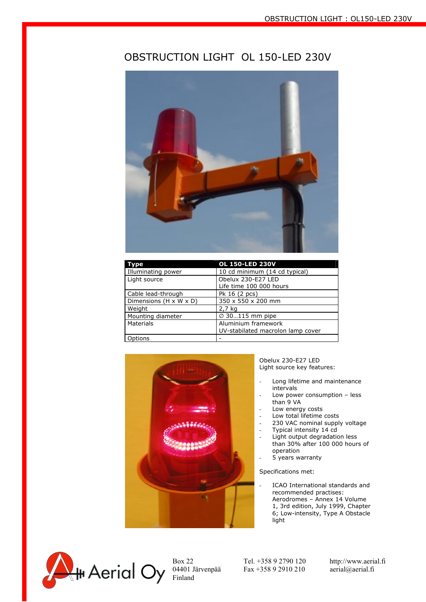## OBSTRUCTION LIGHT OL 150-LED 230V



| vpe                    | <b>OL 150-LED 230V</b>                                   |
|------------------------|----------------------------------------------------------|
| Illuminating power     | 10 cd minimum (14 cd typical)                            |
| Light source           | Obelux 230-E27 LED<br>Life time 100 000 hours            |
| Cable lead-through     | Pk 16 (2 pcs)                                            |
| Dimensions (H x W x D) | 350 x 550 x 200 mm                                       |
| Weight                 | 2,7 kg                                                   |
| Mounting diameter      | $\varnothing$ 30115 mm pipe                              |
| Materials              | Aluminium framework<br>UV-stabilated macrolon lamp cover |
| Options                |                                                          |



Obelux 230-E27 LED Light source key features:

- Long lifetime and maintenance intervals
- Low power consumption less than 9 VA
- Low energy costs
- Low total lifetime costs
- 230 VAC nominal supply voltage
- Typical intensity 14 cd
- Light output degradation less than 30% after 100 000 hours of operation
- 5 years warranty

Specifications met:

- ICAO International standards and recommended practises: Aerodromes – Annex 14 Volume
	- 1, 3rd edition, July 1999, Chapter 6; Low-intensity, Type A Obstacle light



04401 Järvenpää Fax +358 9 2910 210 aerial@aerial.fi

Box 22 Tel. +358 9 2790 120 http://www.aerial.fi<br>04401 Järvenpää Fax +358 9 2910 210 aerial@aerial.fi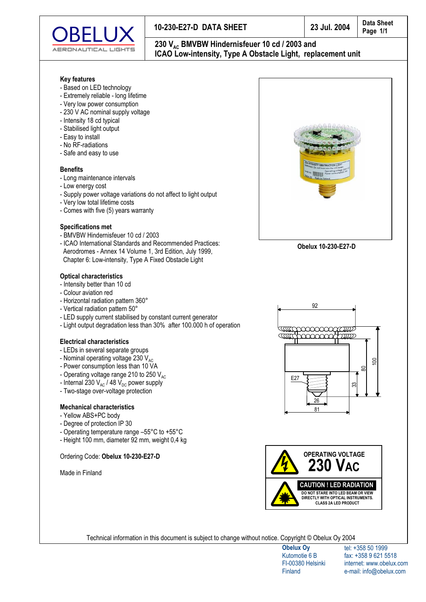

### 10-230-E27-D DATA SHEET

## 230 V<sub>AC</sub> BMVBW Hindernisfeuer 10 cd / 2003 and ICAO Low-intensity, Type A Obstacle Light, replacement unit

#### **Key features**

- Based on LED technology
- Extremely reliable long lifetime
- Very low power consumption
- 230 V AC nominal supply voltage
- Intensity 18 cd typical
- Stabilised light output
- Easy to install
- No RF-radiations
- Safe and easy to use

#### **Benefits**

- Long maintenance intervals
- Low energy cost
- Supply power voltage variations do not affect to light output
- Very low total lifetime costs
- Comes with five (5) years warranty

#### **Specifications met**

- BMVBW Hindernisfeuer 10 cd / 2003
- ICAO International Standards and Recommended Practices: Aerodromes - Annex 14 Volume 1, 3rd Edition, July 1999, Chapter 6: Low-intensity, Type A Fixed Obstacle Light

#### **Optical characteristics**

- Intensity better than 10 cd
- Colour aviation red
- Horizontal radiation pattern 360°
- Vertical radiation pattern 50°
- LED supply current stabilised by constant current generator
- Light output degradation less than 30% after 100.000 h of operation

#### **Electrical characteristics**

- LEDs in several separate groups
- Nominal operating voltage 230 V<sub>AC</sub>
- Power consumption less than 10 VA
- Operating voltage range 210 to 250  $V_{AC}$
- Internal 230  $V_{AC}$  / 48  $V_{DC}$  power supply
- Two-stage over-voltage protection

#### **Mechanical characteristics**

- Yellow ABS+PC body
- Degree of protection IP 30
- Operating temperature range -55°C to +55°C
- Height 100 mm, diameter 92 mm, weight 0,4 kg

#### Ordering Code: Obelux 10-230-E27-D

Made in Finland



Obelux 10-230-E27-D





Technical information in this document is subject to change without notice. Copyright © Obelux Oy 2004

**Obelux Oy** Kutomotie 6 B FI-00380 Helsinki Finland

tel: +358 50 1999 fax: +358 9 621 5518 internet: www.obelux.com e-mail: info@obelux.com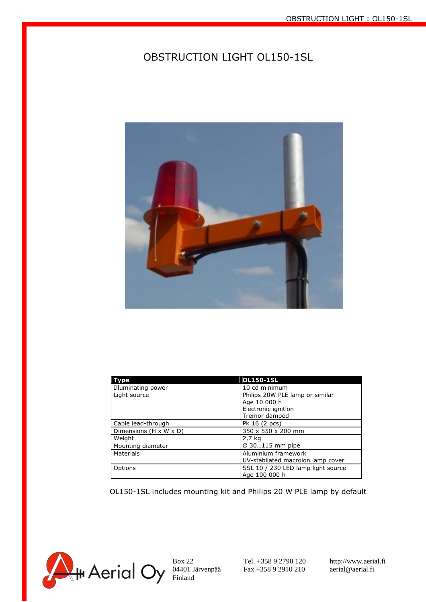## OBSTRUCTION LIGHT OL150-1SL



| Type                               | OL150-1SL                          |
|------------------------------------|------------------------------------|
| Illuminating power                 | 10 cd minimum                      |
| Light source                       | Philips 20W PLE lamp or similar    |
|                                    | Age 10 000 h                       |
|                                    | Electronic ignition                |
|                                    | Tremor damped                      |
| Cable lead-through                 | Pk 16 (2 pcs)                      |
| Dimensions $(H \times W \times D)$ | 350 x 550 x 200 mm                 |
| Weight                             | 2,7 kg                             |
| Mounting diameter                  | $\varnothing$ 30115 mm pipe        |
| Materials                          | Aluminium framework                |
|                                    | UV-stabilated macrolon lamp cover  |
| Options                            | SSL 10 / 230 LED lamp light source |
|                                    | Age 100 000 h                      |

OL150-1SL includes mounting kit and Philips 20 W PLE lamp by default

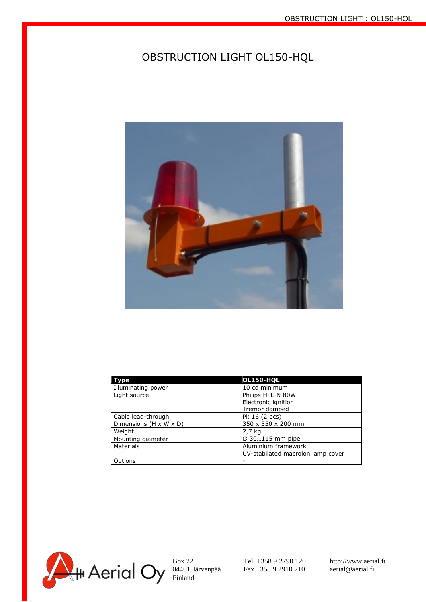# OBSTRUCTION LIGHT OL150-HQL



| Type                   | OL150-HQL                         |
|------------------------|-----------------------------------|
| Illuminating power     | 10 cd minimum                     |
| Light source           | Philips HPL-N 80W                 |
|                        | Electronic ignition               |
|                        | Tremor damped                     |
| Cable lead-through     | Pk 16 (2 pcs)                     |
| Dimensions (H x W x D) | 350 x 550 x 200 mm                |
| Weight                 | 2,7 kg                            |
| Mounting diameter      | $\varnothing$ 30115 mm pipe       |
| Materials              | Aluminium framework               |
|                        | UV-stabilated macrolon lamp cover |
| Options                |                                   |



Box 22 Tel. +358 9 2790 120 http://www.aerial.fi 04401 Järvenpää Fax +358 9 2910 210 aerial@aerial.fi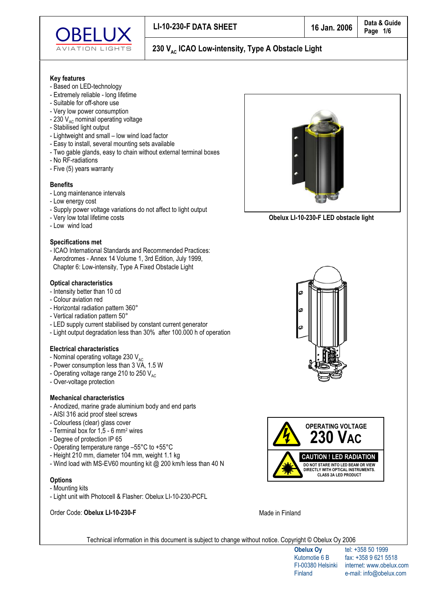

#### **Key features**

- Based on LED-technology
- Extremely reliable long lifetime
- Suitable for off-shore use
- Very low power consumption
- 230  $V_{AC}$  nominal operating voltage
- Stabilised light output
- Lightweight and small low wind load factor
- Easy to install, several mounting sets available
- Two gable glands, easy to chain without external terminal boxes
- No RF-radiations
- Five (5) years warranty

#### **Benefits**

- Long maintenance intervals
- Low energy cost
- Supply power voltage variations do not affect to light output
- Very low total lifetime costs
- Low wind load

#### **Specifications met**

- ICAO International Standards and Recommended Practices: Aerodromes - Annex 14 Volume 1, 3rd Edition, July 1999, Chapter 6: Low-intensity, Type A Fixed Obstacle Light

#### **Optical characteristics**

- Intensity better than 10 cd
- Colour aviation red
- Horizontal radiation pattern 360°
- Vertical radiation pattern 50°
- LED supply current stabilised by constant current generator
- Light output degradation less than 30% after 100.000 h of operation

#### **Electrical characteristics**

- Nominal operating voltage 230 V<sub>AC</sub>
- Power consumption less than 3 VA, 1.5 W
- Operating voltage range 210 to 250  $V_{AC}$
- Over-voltage protection
- **Mechanical characteristics**
- Anodized, marine grade aluminium body and end parts
- AISI 316 acid proof steel screws
- Colourless (clear) glass cover
- Terminal box for 1,5 6 mm<sup>2</sup> wires
- Degree of protection IP 65
- Operating temperature range -55°C to +55°C
- Height 210 mm, diameter 104 mm, weight 1.1 kg
- Wind load with MS-EV60 mounting kit @ 200 km/h less than 40 N

#### **Options**

- Mounting kits
- Light unit with Photocell & Flasher: Obelux LI-10-230-PCFL

Order Code: Obelux LI-10-230-F



Obelux LI-10-230-F LED obstacle light





Made in Finland

Technical information in this document is subject to change without notice. Copyright © Obelux Oy 2006

tel: +358 50 1999 fax: +358 9 621 5518 internet: www.obelux.com e-mail: info@obelux.com